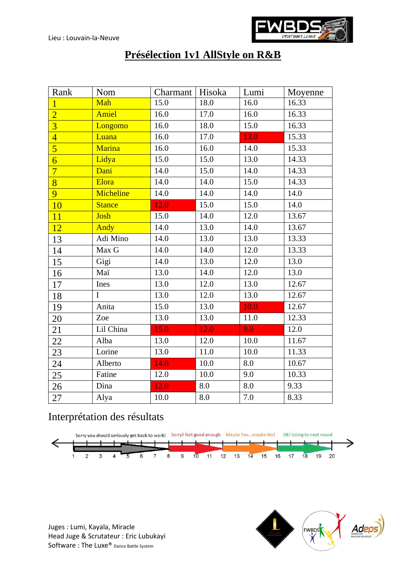

## **Présélection 1v1 AllStyle on R&B**

| Rank           | Nom           | Charmant   Hisoka |      | Lumi | Moyenne |
|----------------|---------------|-------------------|------|------|---------|
| $\overline{1}$ | Mah           | 15.0              | 18.0 | 16.0 | 16.33   |
| $\overline{2}$ | Amiel         | 16.0              | 17.0 | 16.0 | 16.33   |
| $\overline{3}$ | Longomo       | 16.0              | 18.0 | 15.0 | 16.33   |
| $\overline{4}$ | Luana         | 16.0              | 17.0 | 13.0 | 15.33   |
| $\overline{5}$ | <b>Marina</b> | 16.0              | 16.0 | 14.0 | 15.33   |
| $\overline{6}$ | Lidya         | 15.0              | 15.0 | 13.0 | 14.33   |
| $\overline{7}$ | Dani          | 14.0              | 15.0 | 14.0 | 14.33   |
| $\overline{8}$ | Elora         | 14.0              | 14.0 | 15.0 | 14.33   |
| 9              | Micheline     | 14.0              | 14.0 | 14.0 | 14.0    |
| 10             | <b>Stance</b> | 12.0              | 15.0 | 15.0 | 14.0    |
| 11             | Josh          | 15.0              | 14.0 | 12.0 | 13.67   |
| 12             | Andy          | 14.0              | 13.0 | 14.0 | 13.67   |
| 13             | Adi Mino      | 14.0              | 13.0 | 13.0 | 13.33   |
| 14             | Max G         | 14.0              | 14.0 | 12.0 | 13.33   |
| 15             | Gigi          | 14.0              | 13.0 | 12.0 | 13.0    |
| 16             | Maï           | 13.0              | 14.0 | 12.0 | 13.0    |
| 17             | Ines          | 13.0              | 12.0 | 13.0 | 12.67   |
| 18             | $\mathbf I$   | 13.0              | 12.0 | 13.0 | 12.67   |
| 19             | Anita         | 15.0              | 13.0 | 10.0 | 12.67   |
| 20             | Zoe           | 13.0              | 13.0 | 11.0 | 12.33   |
| 21             | Lil China     | 15.0              | 12.0 | 9.0  | 12.0    |
| 22             | Alba          | 13.0              | 12.0 | 10.0 | 11.67   |
| 23             | Lorine        | 13.0              | 11.0 | 10.0 | 11.33   |
| 24             | Alberto       | 14.0              | 10.0 | 8.0  | 10.67   |
| 25             | Fatine        | 12.0              | 10.0 | 9.0  | 10.33   |
| 26             | Dina          | 12.0              | 8.0  | 8.0  | 9.33    |
| 27             | Alya          | 10.0              | 8.0  | 7.0  | 8.33    |

## Interprétation des résultats



Juges : Lumi, Kayala, Miracle Head Juge & Scrutateur : Eric Lubukayi Software : The Luxe® Dance Battle System